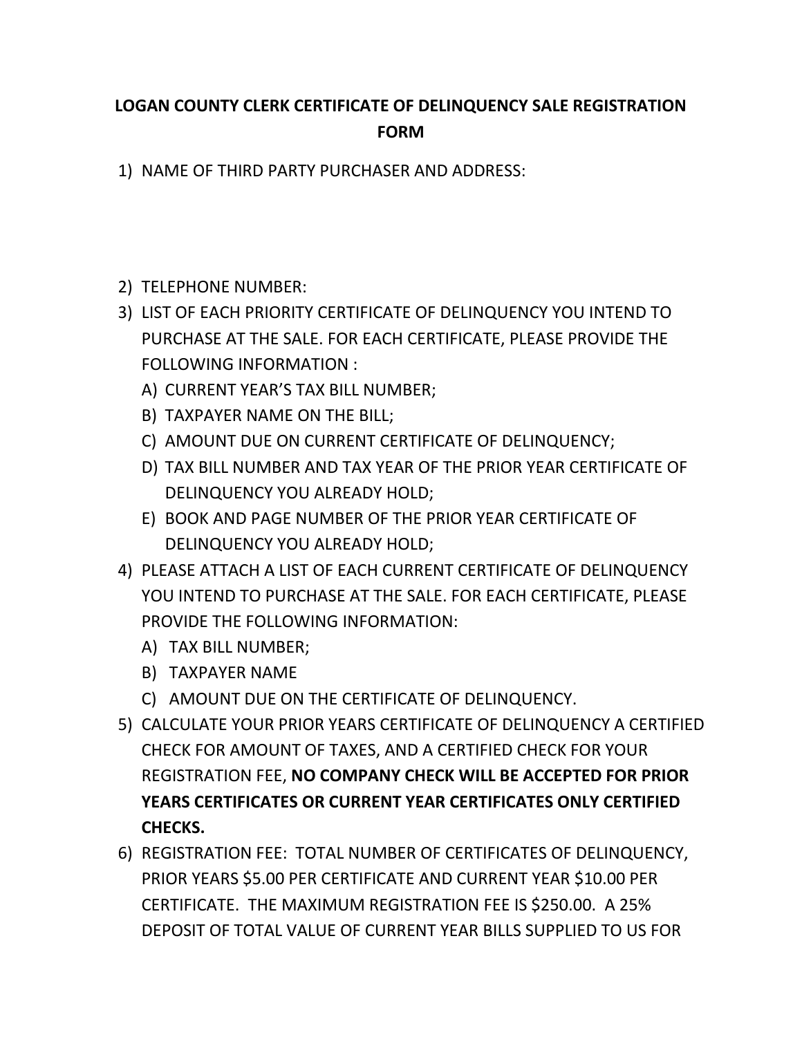## **LOGAN COUNTY CLERK CERTIFICATE OF DELINQUENCY SALE REGISTRATION FORM**

1) NAME OF THIRD PARTY PURCHASER AND ADDRESS:

- 2) TELEPHONE NUMBER:
- 3) LIST OF EACH PRIORITY CERTIFICATE OF DELINQUENCY YOU INTEND TO PURCHASE AT THE SALE. FOR EACH CERTIFICATE, PLEASE PROVIDE THE FOLLOWING INFORMATION :
	- A) CURRENT YEAR'S TAX BILL NUMBER;
	- B) TAXPAYER NAME ON THE BILL;
	- C) AMOUNT DUE ON CURRENT CERTIFICATE OF DELINQUENCY;
	- D) TAX BILL NUMBER AND TAX YEAR OF THE PRIOR YEAR CERTIFICATE OF DELINQUENCY YOU ALREADY HOLD;
	- E) BOOK AND PAGE NUMBER OF THE PRIOR YEAR CERTIFICATE OF DELINQUENCY YOU ALREADY HOLD;
- 4) PLEASE ATTACH A LIST OF EACH CURRENT CERTIFICATE OF DELINQUENCY YOU INTEND TO PURCHASE AT THE SALE. FOR EACH CERTIFICATE, PLEASE PROVIDE THE FOLLOWING INFORMATION:
	- A) TAX BILL NUMBER;
	- B) TAXPAYER NAME
	- C) AMOUNT DUE ON THE CERTIFICATE OF DELINQUENCY.
- 5) CALCULATE YOUR PRIOR YEARS CERTIFICATE OF DELINQUENCY A CERTIFIED CHECK FOR AMOUNT OF TAXES, AND A CERTIFIED CHECK FOR YOUR REGISTRATION FEE, **NO COMPANY CHECK WILL BE ACCEPTED FOR PRIOR YEARS CERTIFICATES OR CURRENT YEAR CERTIFICATES ONLY CERTIFIED CHECKS.**
- 6) REGISTRATION FEE: TOTAL NUMBER OF CERTIFICATES OF DELINQUENCY, PRIOR YEARS \$5.00 PER CERTIFICATE AND CURRENT YEAR \$10.00 PER CERTIFICATE. THE MAXIMUM REGISTRATION FEE IS \$250.00. A 25% DEPOSIT OF TOTAL VALUE OF CURRENT YEAR BILLS SUPPLIED TO US FOR